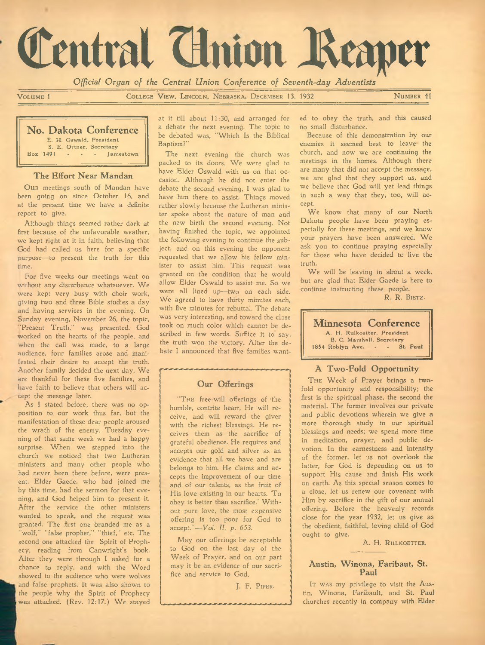# Central Cluion Reaper

*Official Organ of the Central Union Conference of Seventh-day Adventists*

VOLUME I COLLEGE VIEW, LINCOLN, NEBRASKA, DECEMBER 13, 1932 NUMBER 41

#### **No, Dakota Conference**

E. H. Oswald, President S. E. Ortner, Secretary<br>Box 1491 Iamestown

#### **The Effort Near Mandan**

Our meetings south of Mandan have been going on since October 16, and at the present time we have a definite report to give.

Although things seemed rather dark at first because of the unfavorable weather, we kept right at it in faith, believing that God had called us here for a specific purpose— to present the truth for this time.

For five weeks our meetings went on without any disturbance whatsoever. We were kept very busy with choir work, giving two and three Bible studies a day and having services in the evening. On Sunday evening, November 26, the topic, 'Present Truth," was presented. God worked on the hearts of the people, and when the call was made, to a large audience, four families arose and manifested their desire to accept the truth. Another family decided the next day. We are thankful for these five families, and have faith to believe that others will accept the message later.

As I stated before, there was no opposition to our work thus far, but the manifestation of these dear people aroused the wrath of the enemy. Tuesday evening of that same week we had a happy surprise. When we stepped into the church we noticed that two Lutheran ministers and many other people who had never been there before, were present. Elder Gaede, who had joined me by this time, had the sermon for that evening, and God helped him to present it. After the service the other ministers wanted to speak, and the request was granted. The first one branded me as a "w olf," "false prophet," "thief," etc. The second one attacked the Spirit of Prophecy, reading from Canwright's book. After they were through I asked for a chance to reply, and with the Word showed to the audience who were wolves and false prophets. It was also shown to the people why the Spirit of Prophecy was attacked. (Rev. 12:17.) We stayed

at it till about 11:30, and arranged for a debate the next evening. The topic to be debated was, "Which Is the Biblical Baptism?"

The next evening the church was packed to its doors. We were glad to have Elder Oswald with us on that occasion. Although he did not enter the debate the second evening, I was glad to have him there to assist. Things moved rather slowly because the Lutheran minister spoke about the nature of man and the new birth the second evening. Not having finished the topic, we appointed the following evening to continue the subject, and on this evening the opponent requested that we allow his fellow minister to assist him. This request was granted on the condition that he would allow Elder Oswald to assist me. So we were all lined up— two on each side. We agreed to have thirty minutes each, with five minutes for rebuttal. The debate was very interesting, and toward the close took on much color which cannot be described in few words. Suffice it to say, the truth won the victory. After the debate I announced that five families want-

#### **Our Offerings**

"THE free-will offerings of the humble, contrite heart, He will receive, and will reward the giver with the richest blessings. He receives them as the sacrifice of grateful obedience. He requires and accepts our gold and silver as an evidence that all we have and are belongs to him. He claims and accepts the improvement of our time and of our talents, as the fruit of His love existing in our hearts. To obey is better than sacrifice.' Without pure love, the most expensive offering is too poor for God to accept."— *V ol. II, p. 653.*

May our offerings be acceptable to God on the last day of the Week of Prayer, and on our part may it be an evidence of our sacrifice and service to God.

J. F. PIPER.

ed to obey the truth, and this caused no small disturbance.

Because of this demonstration by our enemies it seemed best to leave the church, and now we are continuing the meetings in the homes. Although there are many that did not accept the message, we are glad that they support us, and we believe that God will yet lead things in such a way that they, too, will accept.

We know that many of our North Dakota people have been praying especially for these meetings, and we know your prayers have been answered. We ask you to continue praying especially for those who have decided to live the truth.

We will be leaving in about a week, but are glad that Elder Gaede is here to continue instructing these people.

R. R. BIETZ.

#### **Minnesota Conference** A. H. Rulkoetter, President B. C. Marshall, Secretary 1854 Roblyn Ave. - - St. Paul

### **A Two-Fold Opportunity**

THE Week of Prayer brings a twofold opportunity and responsibility; the first is the spiritual phase, the second the material. The former involves our private and public devotions wherein we give a more thorough study to our spiritual blessings and needs; we spend more time in meditation, prayer, and public devotion. In the earnestness and intensity of the former, let us not overlook the latter, for God is depending on us to support His cause and finish His work on earth. As this special season comes to a close, let us renew our covenant with Him by sacrifice in the gift of our annual offering. Before the heavenly records close for the year 1932, let us give as the obedient, faithful, loving child of God ought to give.

A. H. RULKOETTER.

#### **Austin, Winona, Faribaut, St. Paul**

IT WAS my privilege to visit the Austin, W inona, Faribault, and St. Paul churches recently in company with Elder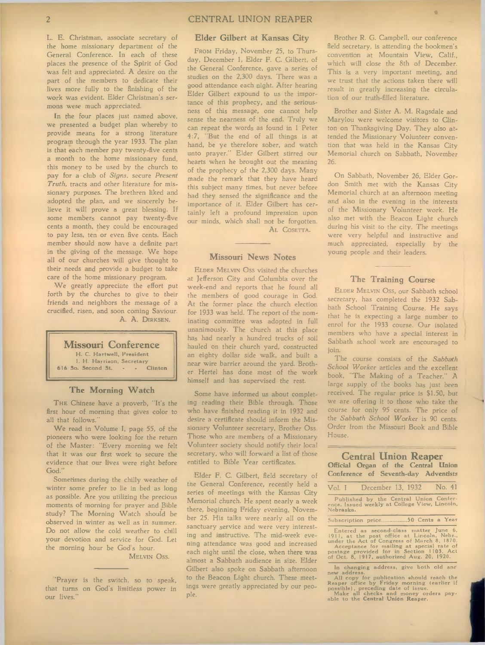L. E. Christman, associate secretary of the home missionary department of the General Conference. In each of these places the presence of the Spirit of God was felt and appreciated. A desire on the part of the members to dedicate their lives more fully to the finishing of the work was evident. Elder Christman's sermons were much appreciated.

In the four places just named above, we presented a budget plan whereby to provide means for a strong literature program through the year 1933. The plan is that each member pay twenty-five cents a month to the home missionary fund, this money to be used by the church to pay for a club of *Signs,* secure *Present Truth,* tracts and other literature for missionary purposes. The brethren liked and adopted the plan, and we sincerely believe it will prove a great blessing. If some members cannot pay twenty-five cents a month, they could be encouraged to pay less, ten or even five cents. Each member should now have a definite part in the giving of the message. We hope all of our churches will give thought to their needs and provide a budget to take care of the home missionary program.

We greatly appreciate the effort put forth by the churches to give to their friends and neighbors the message of a crucified, risen, and soon coming Saviour. A. A. DIRKSEN.

# **Missouri Conference**

H. C. Hartwell, President I. H. Harrison, Secretary<br>
2. Second St. (1984) Clinton  $616$  So. Second St.

#### **The Morning Watch**

THE Chinese have a proverb, "It's the first hour of morning that gives color to all that follows."

We read in Volume I, page 55, of the pioneers who were looking for the return of the Master: "Every morning we felt that it was our first work to secure the evidence that our lives were right before God."

Sometimes during the chilly weather of winter some prefer to lie in bed as long as possible. Are you utilizing the precious moments of morning for prayer and Bible study? The Morning Watch should be observed in winter as well as in summer. Do not allow the cold weather to chill your devotion and service for God. Let the morning hour be God s hour.

#### MELVIN OSS.

"Prayer is the switch, so to speak, that turns on God's limitless power in our lives."

#### **Elder Gilbert at Kansas City**

FROM Friday, November 25, to Thursday, December 1, Elder F. C. Gilbert, of the General Conference, gave a series of studies on the 2,300 days. There was a good attendance each night. After hearing Elder Gilbert expound to us the importance of this prophecy, and the seriousness of this message, one cannot help sense the nearness of the end. Truly we can repeat the words as found in 1 Peter 4:7, "But the end of all things is at hand, be ye therefore sober, and watch unto prayer." Elder Gilbert stirred our hearts when he brought out the meaning of the prophecy of the 2,300 days. Many made the remark that they have heard this subject many times, but never before had they sensed the significance and the importance of it. Elder Gilbert has certainly left a profound impression upon our minds, which shall not be forgotten. AL COSETTA.

#### **Missouri News Notes**

ELDER MELVIN OSS visited the churches at Jefferson City and Columbia over the week-end and reports that he found all the members of good courage in God. At the former place the church election for 1933 was held. The report of the nominating committee was adopted in full unanimously. The church at this place has had nearly a hundred trucks of soil hauled on their church yard, constructed an eighty dollar side walk, and built a near wire barrier around the yard. Brother Hertel has done most of the work himself and has supervised the rest.

Some have informed us about completing reading their Bible through. Those who have finished reading it in 1932 and desire a certificate should inform the Missionary Volunteer secretary, Brother Oss. Those who are members of a Missionary Volunteer society should notify their local secretary, who will forward a list of those entitled to Bible Year certificates.

Elder F. C. Gilbert, field secretary of the General Conference, recently held a series of meetings with the Kansas City Memorial church. He spent nearly a week there, beginning Friday evening, November 25. His talks were nearly all on the sanctuary service and were very interesting and instructive. The mid-week evening attendance was good and increased each night until the close, when there was almost a Sabbath audience in size. Elder Gilbert also spoke on Sabbath afternoon to the Beacon Light church. These meetings were greatly appreciated by our people.

Brother R. G. Campbell, our conference field secretary, is attending the bookmen's convention at Mountain View, Calif., which will close the 8th of December. This is a very important meeting, and we trust that the actions taken there will result in greatly increasing the circulation of our truth-filled literature.

**«**

Brother and Sister A. M. Ragsdale and Marylou were welcome visitors to Clinton on Thanksgiving Day. They also attended the Missionary Volunteer convention that was held in the Kansas City Memorial church on Sabbath, November 26.

On Sabbath, November 26, Elder Gordon Smith met with the Kansas City Memorial church at an afternoon meeting and also in the evening in the interests of the Missionary Volunteer work. He also met with the Beacon Light church during his visit to the city. The meetings were very helpful and instructive and much appreciated, especially by the young people and their leaders.

#### **The Training Course**

ELDER MELVIN OSS, our Sabbath school secretary, has completed the 1932 Sabbath School Training Course. He says that he is expecting a large number to enrol for the 1933 course. Our isolated members who have a special interest in Sabbath school work are encouraged to join.

The course consists of the Sabbath School Worker articles and the excellent book, "The Making of a Teacher." A large supply of the books has just been received. The regular price is \$1.50, but we are offering it to those who take the course for only 95 cents. The price of the Sabbath School Worker is 90 cents. Order from the Missouri Book and Bible House.

#### **Central Union Reaper** Official Organ of the Central Union Conference of Seventh-day Adventists

| Vol <sub>n</sub> I | December 13, 1932                                                                       |  |                 | No. 41 |
|--------------------|-----------------------------------------------------------------------------------------|--|-----------------|--------|
| Nebraska.          | Published by the Central Union Confer-<br>ence. Issued weekly at College View, Lincoln, |  |                 |        |
|                    | Subscription price                                                                      |  | 50 Cents a Year |        |
|                    |                                                                                         |  |                 |        |

Entered as second-class matter June 6,<br>1911, at the post office at Lincoln, Nebr.,<br>under the Act of Congress of March 8, 1870.<br>Acceptance for mailing at special rate of<br>postage provided for in Section 1103, Act<br>of Oct. 8,

In changing address, give both old and

new address.<br>
All copy for publication should reach the<br>
Reaper office by Friday morning (earlier if<br>
possible), preceding date of issue.<br>
Make all checks and money orders pay-<br>
able to the Central Union Reaper.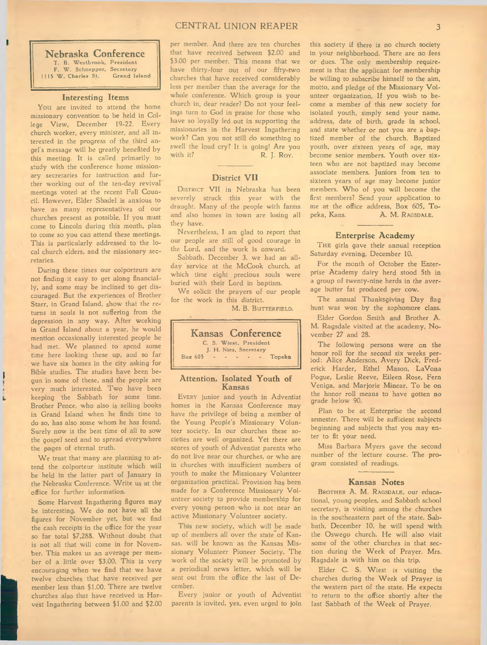#### CENTRAL UNION REAPER 3

**Nebraska Conference** T. B. Westbrook, President F. W. Schnepper, Secretary<br>W. Charles St. Grand Island  $1115$  W. Charles St.

#### **Interesting Items**

You are invited to attend the home, missionary convention to be held in College View, December 19-22. Every church worker, every minister, and all interested in the progress of the third angel's message will be greatly benefited by this meeting. It is called primarily to study with the conference home missionary secretaries for instruction and further working out of the ten-day revival meetings voted at the recent Fall Council. However, Elder Shadel is anxious to have as many representatives of our churches present as possible. If you must come to Lincoln during this month, plan to come so you can attend these meetings. This is particularly addressed to the local church elders, and the missionary secretaries.

During these times our colporteurs are not finding it easy to get along financially, and some may be inclined to get discouraged. But the experiences of Brother Starr, in Grand Island, show that the returns in souls is not suffering from the depression in any way. After working in Grand Island about a year, he would mention occasionally interested people he had met. We planned to spend some time here looking these up, and so far we have six homes in the city asking for Bible studies. The studies have been begun in some of these, and the people are very much interested. Two have been keeping the Sabbath for some time. Brother Pence, who also is selling books in Grand Island when he finds time to do so, has also some whom he has found. Surely now is the best time of all to sow the gospel seed and to spread everywhere the pages of eternal truth.

We trust that many are planning to attend the colporteur institute which will be held in the latter part of January in the Nebraska Conference. Write us at the office for further information.

Some Harvest Ingathering figures may be interesting. We do not have all the figures for November yet, but we find the cash receipts in the office for the year so far total \$7,288. Without doubt that is not all that will come in for November. This makes us an average per member of a little over \$3.00. This is very encouraging when we find that we have twelve churches that have received per member less than \$1.00. There are twelve churches also that have received in Harvest Ingathering between \$1.00 and \$2.00 per member. And there are ten churches that have received between \$2.00 and \$3.00 per member. This means that we have thirty-four out of our fifty-two churches that have received considerably less per member than the average for the whole conference. Which group is your church in, dear reader? Do not your feelings turn to God in praise for those who have so loyally led out in supporting the missionaries in the Harvest Ingathering work? Can you not still do something to swell the loud cry? It is going! Are you<br>with it? R. J. Roy. R. J. Roy.

#### **District VII**

DISTRICT VII in Nebraska has been severely struck this year with the draught. Many of the people with farms and also homes in town are losing all they have.

Nevertheless, I am glad to report that our people are still of good courage in the Lord, and the work is onward.

Sabbath, December 3, we had an allday service at the McCook church, at which time eight precious souls were buried with their Lord in baptism.

We solicit the prayers of our people for the work in this district.

M. B. BUTTERFIELD.



#### **Attention, Isolated Youth of Kansas**

EVERY junior and youth in Adventist homes in the Kansas Conference may have the privilege of being a member of the Young People's Missionary Volunteer society. In our churches these societies are well organized. Yet there are scores of youth of Adventist parents who do not live near our churches, or who are in churches with insufficient numbers of youth to make the Missionary Volunteer organization practical. Provision has been made for a Conference Missionary Volunteer society to provide membership for every young person who is not near an active Missionary Volunteer society.

This new society, which will be made up of members all over the state of Kansas, will be known as the Kansas Missionary Volunteer Pioneer Society. The work of the society will be promoted by a periodical news letter, which will be sent out from the office the last of December.

Every junior or youth of Adventist parents is invited, yes, even urged to join

this society if there is no church society in your neighborhood. There are no fees or dues. The only membership requirement is that the applicant for membership be willing to subscribe himself to the aim, motto, and pledge of the Missionary Volunteer organization. If you wish to become a member of this new society for isolated youth, simply send your name, address, date of birth, grade in school, and state whether or not you are a baptized member of the church. Baptized youth, over sixteen years of age, may become senior members. Youth over sixteen who are not baptized may become associate members. Juniors from ten to sixteen years of age may become junior members. W ho of you will become the first members? Send your application to me at the office address, Box 605, Topeka, Kans. A. M. RAGSDALE.

#### **Enterprise Academy**

THE girls gave their annual reception Saturday evening, December 10.

For the month of October the Enterprise Academy dairy herd stood 5th in a group of twenty-nine herds in the average butter fat produced per cow.

The annual Thanksgiving Day flag hunt was won by the sophomore class.

Elder Gordon Smith and Brother A. M. Ragsdale visited at the academy, November 27 and 28.

The following persons were on the honor roll for the second six weeks period: Alice Anderson, Avery Dick, Frederick Harder, Ethel Mason, LaVona Pogue, Leslie Reeve, Eileen Rose, Fern Veniga, and Marjorie Minear. To be on the honor roll means to have gotten no grade below 90.

Plan to be at Enterprise the second semester. There will be sufficient subjects beginning and subjects that you may enter to fit your need.

Miss Barbara Myers gave the second number of the lecture course. The program consisted of readings.

#### **Kansas Notes**

BROTHER A. M. RAGSDALE, our educational, young peoples, and Sabbath school secretary, is visiting among the churches in the southeastern part of the state. Sabbath, December 10, he will spend with the Oswego church. He will also visit some of the other churches in that section during the Week of Prayer. Mrs. Ragsdale is with him on this trip.

Elder C. S. Wiest is visiting the churches during the Week of Prayer in the western part of the state. He expects to return to the office shortly after the last Sabbath of the Week of Prayer.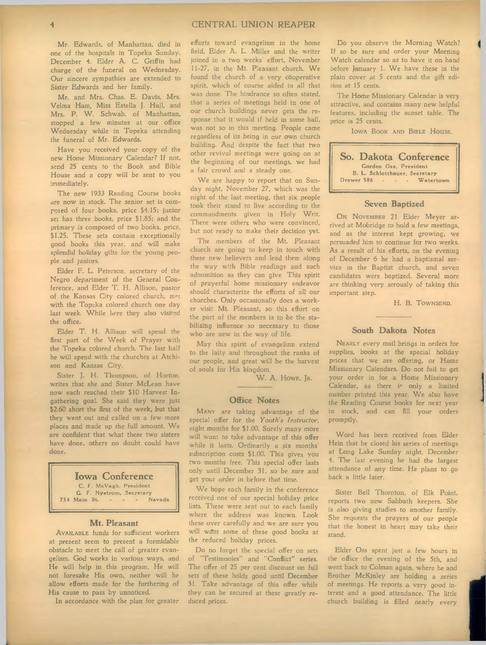Mr. Edwards, of Manhattan, died in one of the hospitals in Topeka Sunday, December 4. Elder A. C. Griffin had charge of the funeral on Wednesday. Our sincere sympathies are extended to Sister Edwards and her family.

Mr. and Mrs. Chas. E. Davis, Mrs. Velma Ham, Miss Estella J. Hull, and Mrs. P. W. Schwab, of Manhattan, stopped a few minutes at our office Wednesday while in Topeka attending the funeral of Mr. Edwards.

Have you received your copy of the new Home Missionary Calendar? If not, send 25 cents to the Book and Bible House and a copy will be sent to you immediately.

The new 1933 Reading Course books are now in stock. The senior set is composed of four books, price \$4.15; junior set has three books, price \$1.85; and the primary is composed of two books, price, \$1.25. These sets contain exceptionally good books this year, and will make splendid holiday gifts for the young people and juniors.

Elder F. L. Peterson, secretary of the Negro department of the General Conference, and Elder T. H. Allison, pastor of the Kansas City colored church, mot with the Topeka colored church one day last week. While here they also visited the office.

Elder T. H. Allison will spend the first part of the Week of Prayer with the Topeka colored church. The last half he will spend with the churches at Atchison and Kansas City.

Sister J. H. Thompson, of Horton, writes that she and Sister McLean have now each reached their \$10 Harvest Ingathering goal. She said they were just \$2.60 short the first of the week, but that they went out and called on a few more places and made up the full amount. We are confident that what these two sisters have done, others no doubt could have done.

**Iowa Conference** C. F. McVagh, President G. F. Nystrom, Secretary<br>Main St. . . . . Nevada 734 Main St.

#### **Mt. Pleasant**

AVAILABLE funds for sufficient workers at present seem to present a formidable obstacle to meet the call of greater evangelism. God works in various ways, and He will help in this program. He will not foresake His own, neither will he allow efforts made for the furthering of His cause to pass by unnoticed.

In accordance with the plan for greater

efforts toward evangelism in the home field, Elder A. L. Miller and the writer joined in a two weeks' effort, November 11-27, in the Mt. Pleasant church. We found the church of a- very cooperative spirit, which of course aided in all that was done. The hindrance so often stated, that a series of meetings held in one of our church buildings never gets the response that it would if held in some hall, was not so in this meeting. People came regardless of its being in our own church building. And despite the fact that two other revival meetings were going on at the beginning of our meetings, we had a fair crowd and a steady one.

We are happy to report that on Sunday night, November 27, which was the night of the last meeting, that six people took their stand to live according to the commandments given in Holy Writ. There were others who were convinced, but not ready to make their decision yet.

The members of the Mt. Pleasant church are going to keep in touch with these new believers and lead them along the way with Bible readings and such admonition as they can give. This spirit of prayerful home missionary endeavor should characterize the efforts of all our churches. Only occasionally does a worker visit Mt. Pleasant, so this effort on the part of the members is to be the stabilising influence so necessary to those who are new in the way of life.

May this spirit of evangelism extend to the laity and throughout the ranks of our people, and great will be the harvest of souls for His kingdom.

W. A. Howe, JR.

#### **Office Notes**

MANY are taking advantage of the special offer for the *Youth's Instructor,* eight months for \$1.00. Surely many more will want to take advantage of this offer while it lasts. Ordinarily a six months' subscription costs \$1.00. This gives you two months free. This special offer lasts only until December 31, so be sure and get your order in before that time.

We hope each family in the conference received one of our special holiday price lists. These were sent out to each family where the address was known. Look these over carefully and we are sure you will want some of these good books at the reduced holiday prices.

Do no forget the special offer on sets of "Testimonies'' and "Conflict" series. The offer of 25 per cent discount on full sets of these holds good until December 31. Take advantage of this offer while they can be secured at these greatly reduced prices.

Do you observe the Morning Watch? If so be sure and order your Morning Watch calendar so as to have it on hand before January 1. We have these in the plain cover at 5 cents and the gift edition at 15 cents.

The Home Missionary Calendar is very attractive, and contains many new helpful features, including the sunset table. The price is 25 cents.

IOWA BOOK AND BIBLE HOUSE.

| So. Dakota Conference         |
|-------------------------------|
| Gorden Oss, President         |
| B. L. Schlotthauer, Secretary |
| Drawer 586 Watertown          |
|                               |

#### **Seven Baptized**

ON NOVEMBER 21 Elder Meyer arrived at Mobridge to hold a few meetings, and as the interest kept growing, we persuaded him to continue for two weeks. As a result of his efforts, on the evening of December 6 he had a baptismal service in the Baptist church, and seven candidates were baptized. Several more are thinking very serously of taking this important step.

H. B. TOWNSEND.

#### **South Dakota Notes**

NEARLY every mail brings in orders for supplies, books at the special holiday prices that we are offering, or Home Missionary Calendars. Do not fail to get your order in for a Home Missionary Calendar, as there is only a limited number printed this year. We also have the Reading Course books for next year in stock, and can fill your orders promptly.

Word has been received from Elder Hein that he closed his series of meetings at Long Lake Sunday night, December 4. The last evening he had the largest attendance of any time. He plans to go back a little later.

Sister Bell Thornton, of Elk Point, reports two new Sabbath keepers. She is also giving studies to another family. She requests the prayers of our people that the honest in heart may take their stand.

Elder Oss spent just a few hours in the office the evening of the 5th, and went back to Colman again, where he and Brother McKinley are holding a series of meetings. He reports a very good interest and a good attendance. The little church building is filled nearly every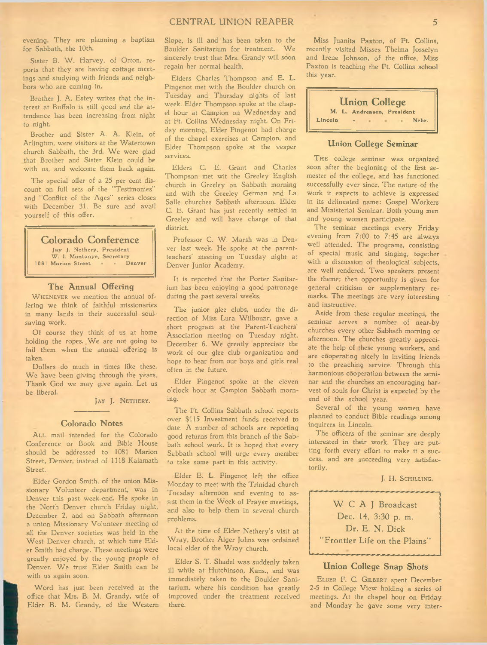#### CENTRAL UNION REAPER 5

evening. They are planning a baptism for Sabbath, the 10th.

Sister B. W. Harvey, of Orton, reports that they are having cottage meetings and studying with friends and neighbors who are coming in.

Brother J. A. Estey writes that the interest at Buffalo is still good and the attendance has been increasing from night to night

Brother and Sister A. A. Klein, of Arlington, were visitors at the Watertown church Sabbath, the 3rd. We were glad that Brother and Sister Klein could be with us, and welcome them back again.

The special offer of a 25 per cent discount on full sets of the "Testimonies" and "Conflict of the Ages" series closes with December 31. Be sure and avail yourself of this offer.

**Colorado Conference**

Jay J. Nethery, President W. I. Montanye, Secretary<br>Marion Street . . . Denver 1081 Marion Street -

#### **The Annual Offering**

WHENEVER we mention the annual offering we think of faithful missionaries in many lands in their successful soulsaving work.

Of course they think of us at home holding the ropes. We are not going to fail them when the annual offering is taken.

Dollars do much in times like these. We have been giving through the years. Thank God we may give again. Let us be liberal.

JAY J. NETHERY.

#### **Colorado Notes**

ALL mail intended for the Colorado Conference or Book and Bible House should be addressed to 1081 Marion Street, Denver, instead of 1118 Kalamath Street.

Elder Gordon Smith, of the union Missionary Volunteer department, was in Denver this past week-end. He spoke in the North Denver church Friday night, December 2, and on Sabbath afternoon a union Missionary Volunteer meeting of all the Denver societies was held in the West Denver church, at which time Elder Smith had charge. These meetings were greatly enjoyed by the young people of Denver. We trust Elder Smith can be with us again soon.

Word has just been received at the office that Mrs. B. M. Grandy, wife of Elder B. M. Grandy, of the Western

Slope, is ill and has been taken to the Boulder Sanitarium for treatment. We sincerely trust that Mrs. Grandy will soon regain her normal health.

Elders Charles Thompson and E. L. Pingenot met with the Boulder church on Tuesday and Thursday nights of last week. Elder Thompson spoke at the chapel hour at Campion on Wednesday and at Ft. Collins Wednesday night. On Friday morning, Elder Pingenot had charge of the chapel exercises at Campion, and Elder Thompson spoke at the vesper services.

Elders C. E. Grant and Charles Thompson met wit the Greeley English church in Greeley on Sabbath morning and with the Greeley German and La Salle churches Sabbath afternoon. Elder C. E. Grant has just recently settled in Greeley and will have charge of that district.

Professor C. W. Marsh was in Denver last week. He spoke at the parentteachers' meeting on Tuesday night at Denver Junior Academy.

It is reported that the Porter Sanitarium has been enjoying a good patronage during the past several weeks.

The junior glee clubs, under the direction of Miss Lura Wilbounr, gave a short program at the Parent-Teachers' Association meeting on Tuesday night, December 6. We greatly appreciate the work of our glee club organization and hope to hear from our boys and girls real often in the future.

Elder Pingenot spoke at the eleven o'clock hour at Campion Sabbath morning.

The Ft. Collins Sabbath school reports over \$115 Investment funds received to date. A number of schools are reporting good returns from this branch of the Sabbath school work. It is hoped that every Sabbath school will urge every member fo take some part in this activity.

Elder E. L. Pingenot left the office Monday to meet with the Trinidad church Tuesday afternoon and evening to assist them in the Week of Prayer meetings, and also to help them in several church problems.

/it the time of Elder Nethery's visit at Wray, Brother Alger Johns was ordained local elder of the Wray church.

Elder S. T. Shadel was suddenly taken ill while at Hutchinson, Kans., and was immediately taken to the Boulder Sanitarium, where his condition has greatly improved under the treatment received there.

Miss Juanita Paxton, of Ft. Collins, recently visited Misses Thelma Josselyn and Irene Johnson, of the office. Miss Paxton is teaching the Ft. Collins school this year.



### **Union College Seminar**

THE college seminar was organized soon after the beginning of the first semester of the college, and has functioned successfully ever since. The nature of the work it expects to achieve is expressed in its delineated name: Gospel Workers and Ministerial Seminar. Both young men and young women participate.

The seminar meetings every Friday evening from 7:00 to 7:45 are always well attended. The programs, consisting of special music and singing, together with a discussion of theological subjects, are well rendered. Two speakers present the theme; then opportunity is given for general criticism or supplementary remarks. The meetings are very interesting and instructive.

Aside from these regular meetings, the seminar serves a number of near-by churches every other Sabbath morning or afternoon. The churches greatly appreciate the help of these young workers, and are cooperating nicely in inviting friends to the preaching service. Through this harmonious cooperation between the seminar and the churches an encouraging harvest of souls for Christ is expected by the end of the school year.

Several of the young women have planned to conduct Bible readings among inquirers in Lincoln.

The officers of the seminar are deeply interested in their work. They are putting forth every effort to make it a success, and are succeeding very satisfactorily.

J. H. SCHILLING.



#### **Union College Snap Shots**

ELDER F. C. GILBERT spent December 2-5 in College View holding a series of meetings. At the chapel hour on Friday and Monday he gave some very inter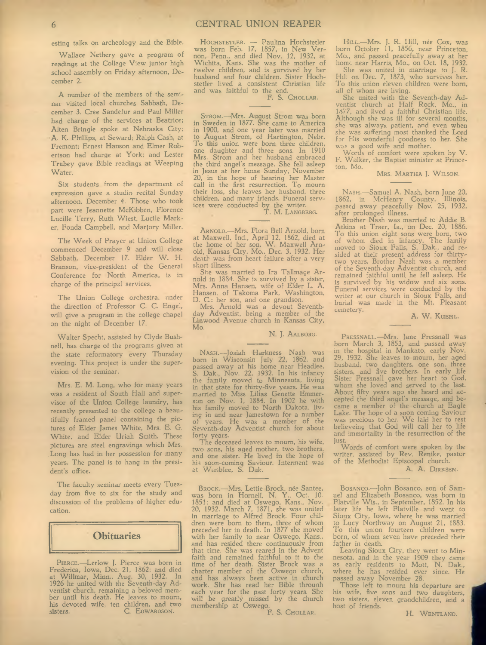esting talks on archeology and the Bible.

Wallace Nethery gave a program of readings at the College View junior high school assembly on Friday afternoon, December 2.

A number of the members of the seminar visited local churches Sabbath, December 3. Cree Sandefur and Paul Miller had charge of the services at Beatrice; Alten Bringle spoke at Nebraska City; A. K. Phillips, at Seward; Ralph Cash, at Fremont; Ernest Hanson and Elmer Robertson had charge at York; and Lester Trubey gave Bible readings at Weeping Water.

Six students from the department of expression gave a studio recital Sunday afternoon, December 4. Those who took part were Jeannette McKibben, Florence Lucille Terry, Ruth Wiest, Lucile Marker, Fonda Campbell, and Marjory Miller.

The Week of Prayer at Union College commenced December 9 and will close Sabbath, December 17. Elder W. H. Branson, vice-president of the General Conference for North America, is in charge of the principal services.

The Union College orchestra, under the direction of Professor C. C. Engel, will give a program in the college chapel on the night of December 17.

Walter Specht, assisted by Clyde Bushnell, has charge of the programs given at the state reformatory every Thursday evening. This project is under the supervision of the seminar.

Mrs. E. M. Long, who for many years was a resident of South Hall and supervisor of the Union College laundry, has recently presented to the college a beautifully framed panel containing the pictures of Elder James White, Mrs. E. G. White, and Elder Uriah Smith. These pictures are steel engravings which Mrs. Long has had in her possession for many years. The panel is to hang in the president's office.

The faculty seminar meets every Tuesday from five to six for the study and discussion of the problems of higher education.



PIERCE.-Lerlow J. Pierce was born in Frederica, Iowa, Dec. 21, 1862; and died at W illmar, Minn., Aug. 30, 1932. In 1926 he united with the Seventh-day Adventist church, remaining a beloved member until his death. He leaves to mourn, his devoted wife, ten children, and two<br>sisters C. Epwagnson. C. EDWARDSON.

HOCHSTETLER. — Paulina Hochstetler was born Feb. 17, 1857, in New Vernon, Penn., and died Nov. 12, 1932, at W ichita, Kans. She was the mother of twelve children, and is survived by her husband and four children. Sister Hochstetler lived a consistent Christian life and was faithful to the end.<br>F. S. CHOLLAR.

STROM.—Mrs. August Strom was born in Sweden in 1877. She came to America in 1900, and one year later was married to August Strom, of Hartington, Nebr. To this union were born three children, one daughter and three sons. In 1910 Mrs. Strom and her husband embraced the third angel's message. She fell asleep in Jesus at her home Sunday, Novembei 20, in the hope of hearing her Master call in the first resurrection. To mourn their loss, she leaves her husband, three children, and many friends. Funeral services were conducted by the writer.<br>T. M. Langberg.

ARNOLD.-Mrs. Flora Bell Arnold, born at Maxwell, Ind., April 12, 1862, died at the home of her son, W. Maxwell Arnold, Kansas City, Mo., Dec. 3, 1932. Her death was from heart failure after a very short illness.

She was married to Ira Tallmage Arnold in 1884. She is survived by a sister, Mrs. Anna Hansen, wife of Elder L. A. Hansen, of Takoma Park, Washington, D. C.; her son, and one grandson.

Mrs. Arnold was a devout Seventhday Adventist, being a member of the Linwood Avenue church in Kansas City, Mo.

N. J. AALBORG.

Nas $H$ .—Josiah Harkness Nash was born in W isconsin July 22, 1862, and passed away at his home near Headlee, S. Dak., Nov. 22, 1932. In his infancy the family moved to Minnesota, living in that state for thirty-five years. He was married to Miss Lilias Genette Emmer-son on Nov. 1, 1884. In 1902 he with his family moved to North Dakota, living in and near Jamestown for a number of years. He was a member of the Seventh-day Adventist church for about forty years.

The deceased leaves to mourn, his wife, two sens, his aged mother, two brothers, and one sister. He lived in the hope of his soon-coming Saviour. Interment was at W anblee, S. Dak.

Brock.—Mrs. Lettie Brock, née Santee, was born in Hornell, N. Y., Oct. 10. 1851; and died at Oswego, Kans., Nov. 20, 1932. March 7, 1871, she was united in marriage to Alfred Brock. Four children were born to them, three of whom preceded her in death. In 1877 she moved with her family to near Oswego, Kans., and has resided there continuously from that time. She was reared in the Advent faith and remained faithful to it to the time of her death. Sister Brock was a charter member of the Oswego church, and has always been active in church work. She has read her Bible throunh each year for the past forty years. She will be greatly missed by the church membership at Oswego.

F. S. Chollar.

HILL.—Mrs. J. R. Hill, née Cox, was born October 11, 1856, near Princeton, Mo., and passed peacefully away at her home- near Harris, Mo., on Oct. 18, 1932.

She was united in marriage to J. R. Hill on Dec. 7, 1873, who survives her. To this union eleven children were born, all of whom are living.

She united with the Seventh-day Adventist church at Half Rock, Mo., in 1877, and lived a faithful Christian life. Although she was ill for several months, she was always patient, and even when she was suffering most thanked the Lord for His wonderful goodness to her. She was a good wife and mother.

Words of comfort were spoken by V. F. Walker, the Baptist minister at Princeton, Mo.

MRS. MARTHA J. WILSON.

NASH.-Samuel A. Nash, born June 20, 1862, in McHenry County, Illinois, passed away peacefully Nov. 25, 1932, after prolonged illness.

Brother Nash was married to Addie B. Atkins at Traer, la., on Dec. 20, 1886. To this union eight sons were born, two of whom died in infancy. The family moved to Sioux Falls, S. Dak., and resided at their present address for thirtytwo years. Brother Nash was a member of the Seventh-day Adventist church, and remained faithful until he fell asleep. He is survived by his widow and six sons. Funeral services were conducted by the writer at our church in Sioux Falls, and burial was made in the Mt. Pleasant cemetery.

A. W. KUEHL.

PRESSNALL.—Mrs. Jane Pressnall was born March 3, 1853., and passed away in the hospital in Mankato, early Nov. 29, 1932. She leaves to mourn, her aged husband, two daughters, one son, three sisters, and five brothers. In early life Sister Pressnall gave her heart to God, whom she loved and served to the last. About fifty years ago she heard and accepted the third angel's message, and became a member of the church at Eagle Lake. The hope of a soon coming Saviour was precious to her. We laid her to rest believeing that God will call her to life and immortality in the resurrection of the

just. W ords of comfort were spoken by the writer, assisted by Rev. Renike, pastor of the Methodist Episcopal church.

A. A. DIRKSEN.

BOSANCO.-John Bosanco, son of Samuel and Elizabeth Bosanco, was born in Platville W is., in September, 1852. In his later life he left Platville and went to Sioux City, Iowa, where he was married to Lucy Northway on August 21, 1883. To this union fourteen children were born, of whom seven have preceded their father in death.

Leaving Sioux City, they went to Minnesota, and in the year 1909 they came as early residents to Mott, N. Dak., where he has resided ever since. He passed away November 28.

Those left to mourn his departure are his wife, five sons and two daughters, two sisters, eleven grandchildren, and a host of friends.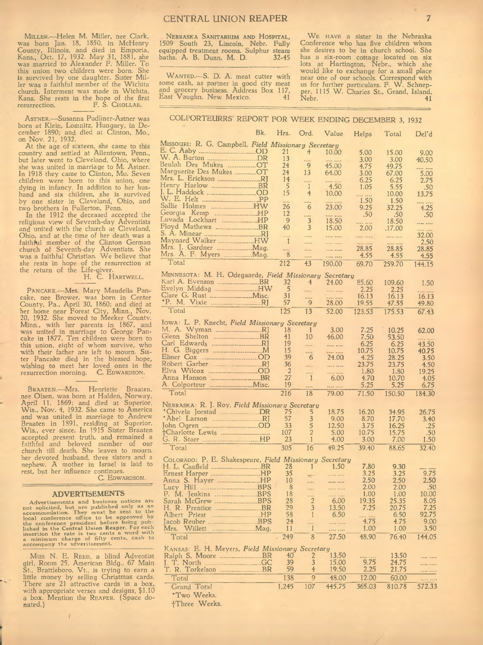MILLER.-Helen M. Miller, nee Clark, was born Jan. 18, 1850, in McHenry County, Illinois, and died in Emporia,<br>Kans., Oct. 17, 1932. May 31, 1881, she was married to Alexander F. Miller. To this union two children were born. She is survived by one daughter. Sister Miller was a faithful member of the W ichita church. Interment was made in W ichita, Kans. She rests in the hope of the first resurrection. F. S. CHOLLAR.

ASTNER.-Susanna Pudliner-Astner was born at Klein, Lomnitz, Hungary, in December 1890; and died at Clinton, Mo., on Nov. 21, 1932.

At the age of sixteen, she came to this country and settled at Allentown, Penn., but later went to Cleveland, Ohio, where she was united in marriage to M. Astner. In 1918 they came to Clinton, Mo. Seven children were born to this union, one dying in infancy. In addition to her husband and six children, she is survived by one sister in Cleveland, Ohio, and two brothers in Fullerton, Penn.

In the 1912 the deceased accepted the religious view of Seventh-day Adventists and united with the church at Cleveland, Ohio, and at the time of her death was a faithhil member of the Clinton German church of Seventh-day Adventists. She was a faithful Christian. We believe that she rests in hope of the resurrection at the return of the Life-giver.<br>H. C. HARTWELL.

PANCAKE.—Mrs. Mary Maudella Pancake, nee Brower, was born in Center County, Pa., April 30, 1860; and died at her home near Forest City, Minn., Nov. 20, 1932. She moved to Meeker Countv. Minn., with her parents in 1867, and was united in marriage to George Pancake in 1877. Ten children were born to this union, eight of whom survive, who with their father are left to mourn. Sister Pancake died in the blessed hope, wishing to meet her loved ones in the resurrection morning. C. EDWARDSON.

BRAATEN.-Mrs. Henriette Braaten, nee Olsen, was born at Halden, Norway, April 11, 1869; and died at Superior, W is., Nov. 4, 1932. She came to America and was united in marriage to Andrew Braaten in 1891, residing at Superior, W is., ever since. In 1915 Sister Braaten accepted present truth, and remained a faithful and beloved member of our church till death. She leaves to mourn, her devoted husband, three sisters and *a* nephew. A mother in Israel is laid to rest, but her influence continues.

C. EDWARDSON.

#### **ADVERTISEMENTS**

Advertisements and business notices are<br>not solicited, but are published only as an<br>accommodation. They must be sent to the<br>local conference oresident before being pub-<br>the conference president before being pub-<br>lished in

Miss N. E. Reep, a blind Adventist girl, Room 25, American Bldg., 67 Main St., Brattleboro, V t., is trying to earn a little money by selling Christmas cards. There are 21 attractive cards in a box, with appropriate verses and designs, \$1.10 a box. Mention the REAPER. (Space donated.)

NEBRASKA SANITARIUM AND HOSPITAL, 1509 South 23, Lincoln, Nebr. Fully equipped treatment rooms. Sulphur steam baths. A. B. Dunn, M. D. 32-45

WANTED.-S. D. A. meat cutter with some cash, as partner in good city meat and grocery business. Address Box 117, East Vaughn, New Mexico.

WE HAVE a sister in the Nebraska Conference who has five children whom she desires to be in church school. She has a six-room cottage located on six lots at Hartington, Nebr., which she would like to exchange for a small place near one of our schools. Correspond with us for further particulars. F. W. Schnepper, 1115 W . Charles St., Grand, Island, Nebr. 41

## COLPORTEURRS' REPORT FOR WEEK ENDING DECEMBER 3, 1932

|                                                                              | Bk. | Hrs. Ord.      |                      | Value               | Helps         | Total          | Del'd        |
|------------------------------------------------------------------------------|-----|----------------|----------------------|---------------------|---------------|----------------|--------------|
| MISSOURI: R. G. Campbell, Field Missionary Secretary                         |     |                |                      |                     |               |                |              |
| E. C. Aaby OD                                                                |     | 21             | 4                    | 10.00               | 5.00          | 15.00          | 9.00         |
|                                                                              |     | 13             |                      |                     | 3.00          | 3.00           | 40.50        |
| Beulah Des Mukes OT                                                          |     | 24             | 9                    | 45.00               | 4.75          | 49.75          |              |
| Marguerite Des Mukes OT                                                      |     | 24             | 13                   | 64.00               | 3.00          | 67.00          | 5.00         |
| Mrs. L. Erickson RJ<br>Henry Harlow BR                                       |     | 14<br>5        | <b>STATE</b>         |                     | 6.25          | 6.25           | 2.75         |
| J. L. Haddock OD                                                             |     | 15             | -1<br>$\overline{4}$ | 4.50<br>10.00       | 1.05          | 5.55           | .50          |
|                                                                              |     |                |                      |                     | <br>1.50      | 10.00<br>1.50  | 13.75        |
| Sallie Holmes HW                                                             |     | 26             | -6                   | 23.00               | 9.25          | 32.25          | <br>4.25     |
| Georgia Kemp HP                                                              |     | 12             | ----                 | ---- ----           | .50           | .50            | .50          |
|                                                                              |     | 9              | 3                    | 18.50               |               | 18.50          | ---- ----    |
| Floyd Mathews BR                                                             |     | 40             | 3                    | 15.00               | 2.00          | .17.00         | ine in       |
| S. A. Minear RJ                                                              |     | ---            | <b>FEIRE</b>         |                     | ---- ----     |                | 32.00        |
| Maynard Walker HW<br>Mrs. J. Gardner  Mag.                                   |     | 1              |                      | <b>Alan Laure</b>   | in an         |                | 2.50         |
| Mrs. A. F. Myers  Mag.                                                       |     | -<br>8         | <b>Kima</b>          | ---- ----           | 28.85<br>4.55 | 28.85<br>4.55  | 28.85        |
| Total                                                                        |     | 212            | <br>43               | ---- ----<br>190.00 |               |                | 4.55         |
|                                                                              |     |                |                      |                     | 69.70         | 259.70         | 144.15       |
| MINNESOTA: M. H. Odegaarde, Field Missionary Secretary<br>Karl A. Evenson BR |     | 32             | $\overline{4}$       |                     |               |                |              |
| Evelyn Middag HW                                                             |     | -5             |                      | 24.00               | 85.60<br>2.25 | 109.60<br>2.25 | 1.50         |
|                                                                              |     | 31             | sien.<br>            | <br>on sin          | 16.13         | 16.13          | 16.13        |
| *P. M. Vixie RJ                                                              |     | 57             | $\overline{9}$       | 28.00               | 19.55         | 47.55          | 49.80        |
| Total                                                                        |     | 125            | 13                   | 52.00               | 123.53        | 175.53         | 67.43        |
|                                                                              |     |                |                      |                     |               |                |              |
| Iowa: L. P. Knecht, Field Missionary Secretary<br>M. A. Wyman RJ             |     | 18             | 1                    | 3.00                | 7.25          | 10.25          |              |
|                                                                              |     | 41             | 10                   | 46.00               | 7.50          | 53.50          | 62.00        |
| Carl Edwards RJ                                                              |     | 19             |                      |                     | 6.25          | 6.25           | 43.50        |
|                                                                              |     | 15             | <b>FRIDA</b>         | ina jira            | 10.75         | 10.75          | 40.75        |
|                                                                              |     | 39             | 6                    | 24.00               | 4.25          | 28.25          | 3.50         |
| Robert Garber RJ                                                             |     | 36             | ni i c               |                     | 23.75         | 23.75          | 4.50         |
| Elva Wilcox OD                                                               |     | $\overline{2}$ | ----                 |                     | 1.80          | -1.80          | 19.25        |
| Anna Hanson BR                                                               |     | 27             | $\mathbf{1}$         | 6.00                | 4.70          | 10.70          | 4.05         |
|                                                                              |     | 19             |                      |                     | 5.25          | 5.25           | 6.75         |
| Total                                                                        |     | 216            | 18                   | 79.00               | 71.50         | 150.50         | 184.30       |
| NEBRASKA: R. J. Roy, Field Missionary Secretary                              |     |                |                      |                     |               |                |              |
| *Chivela Jorstad DR                                                          |     | 75             | 5                    | 18.75               | 16.20         | 34.95          | 26.75        |
| *Abel Larson RJ                                                              |     | 57             | 3                    | 9.00                | 8.70          | 17.70          | 3.40         |
|                                                                              |     | 33             | 5<br>$\overline{2}$  | 12.50               | 3.75          | 16.25          | .25          |
| †Charlotte Lewis<br>G. R. Starr HP                                           |     | 107<br>23      | 1                    | 5.00<br>4.00        | 10.75<br>3.00 | 15.75<br>7.00  | .50<br>1.50  |
| Total                                                                        |     | 305            | 16                   | 49.25               | 39.40         | 88.65          | 32.40        |
|                                                                              |     |                |                      |                     |               |                |              |
| COLORADO: P. E. Shakespeare, Field Missionary Secretary                      |     |                |                      |                     |               |                |              |
|                                                                              |     | 28             | $\mathbf{1}$         | 1.50                | 7.80          | 9.30           |              |
| Ernest Harper HP                                                             |     | 35             | up in                | المتمور وليند       | 3.25<br>2.50  | 3.25<br>2.50   | 9.75<br>2.50 |
|                                                                              |     | 10<br>8        | And a                |                     | 2.00          | 2.00           | .50          |
|                                                                              |     | 18             | -                    | .                   | 1.00          | 1.00           | 10.00        |
|                                                                              |     | 28             |                      | <br>6.00            | 19.35         | 25.35          | 8.05         |
| H. R. Prentice BR                                                            |     | 29             | 3                    | 13.50               | 7.25          | 20.75          | 7.25         |
|                                                                              |     | 58             | $\mathbf{1}$         | 6.50                |               | 6.50           | 92.75        |
|                                                                              |     | 24             | .                    |                     | 4.75          | 4.75           | 9.00         |
|                                                                              |     | 11             | $\mathbf{1}$         |                     | 1.00          | 1.00           | 3.50         |
| Total                                                                        |     | 249            | 8                    | 27.50               | 48.90         | 76.40          | 144.05       |
| KANSAS: E. H. Meyers, Field Missionary Secretary                             |     |                |                      |                     |               |                |              |
| Ralph S. Moore BR                                                            |     | 40             | 2                    | 13.50               |               | 13.50          |              |
|                                                                              |     | 39             | 3                    | 15.00               | 9.75          | 24.75          | .            |
| T. R. Torkelson BR                                                           |     | 59             | $\overline{4}$       | 19.50               | 2.25          | 21.75          |              |
| Total                                                                        |     | 138            | 9                    | 48.00               | 12.00         | 60.00          |              |
| Grand Total                                                                  |     | 1,245          | 107                  | 445.75              | 365.03        | 810.78         | 572.33       |

\*Two Weeks. †Three Weeks.